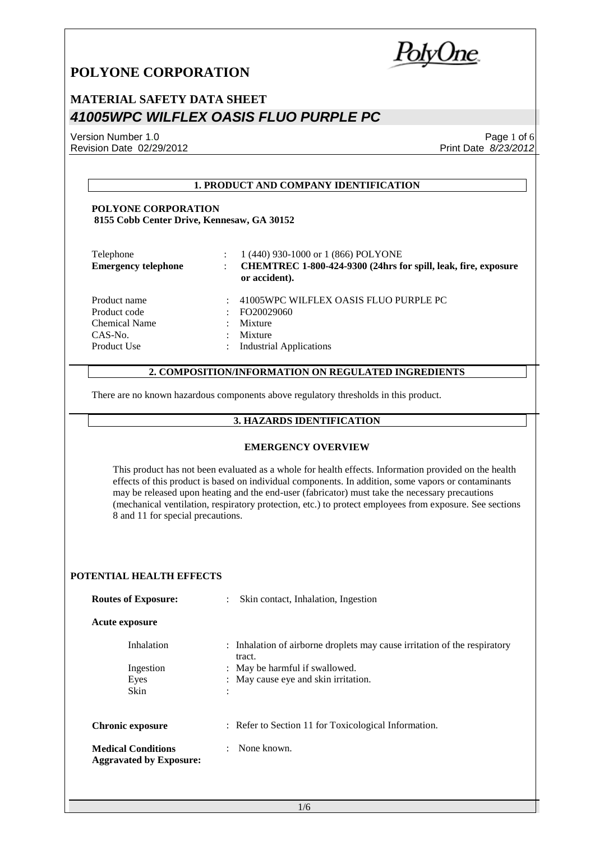PolyUne

## **MATERIAL SAFETY DATA SHEET** *41005WPC WILFLEX OASIS FLUO PURPLE PC*

Version Number 1.0 Revision Date 02/29/2012

Page 1 of 6 Print Date *8/23/2012*

#### **1. PRODUCT AND COMPANY IDENTIFICATION**

#### **POLYONE CORPORATION 8155 Cobb Center Drive, Kennesaw, GA 30152**

| Telephone<br><b>Emergency telephone</b> | 1 (440) 930-1000 or 1 (866) POLYONE<br>CHEMTREC 1-800-424-9300 (24hrs for spill, leak, fire, exposure<br>or accident). |
|-----------------------------------------|------------------------------------------------------------------------------------------------------------------------|
| Product name                            | 41005WPC WILFLEX OASIS FLUO PURPLE PC                                                                                  |
| Product code                            | FO20029060                                                                                                             |
| Chemical Name                           | Mixture                                                                                                                |
| $CAS-N0$ .                              | Mixture                                                                                                                |
| Product Use                             | <b>Industrial Applications</b>                                                                                         |

#### **2. COMPOSITION/INFORMATION ON REGULATED INGREDIENTS**

There are no known hazardous components above regulatory thresholds in this product.

#### **3. HAZARDS IDENTIFICATION**

#### **EMERGENCY OVERVIEW**

This product has not been evaluated as a whole for health effects. Information provided on the health effects of this product is based on individual components. In addition, some vapors or contaminants may be released upon heating and the end-user (fabricator) must take the necessary precautions (mechanical ventilation, respiratory protection, etc.) to protect employees from exposure. See sections 8 and 11 for special precautions.

#### **POTENTIAL HEALTH EFFECTS**

| <b>Routes of Exposure:</b>                                  | Skin contact, Inhalation, Ingestion<br>$\mathbb{R}^{\mathbb{Z}}$                    |
|-------------------------------------------------------------|-------------------------------------------------------------------------------------|
| <b>Acute exposure</b>                                       |                                                                                     |
| Inhalation                                                  | : Inhalation of airborne droplets may cause irritation of the respiratory<br>tract. |
| Ingestion                                                   | : May be harmful if swallowed.                                                      |
| Eyes                                                        | : May cause eye and skin irritation.                                                |
| <b>Skin</b>                                                 | ٠                                                                                   |
| <b>Chronic exposure</b>                                     | : Refer to Section 11 for Toxicological Information.                                |
| <b>Medical Conditions</b><br><b>Aggravated by Exposure:</b> | None known.                                                                         |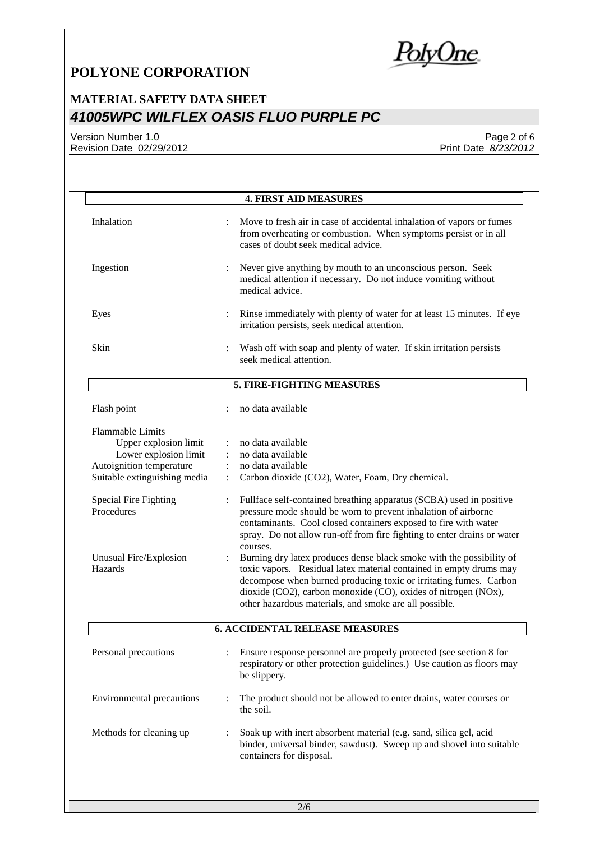**PolyOne** 

# **MATERIAL SAFETY DATA SHEET** *41005WPC WILFLEX OASIS FLUO PURPLE PC*

Version Number 1.0 Revision Date 02/29/2012

Page 2 of 6 Print Date *8/23/2012*

|                                                                                                                                       |                                                    | <b>4. FIRST AID MEASURES</b>                                                                                                                                                                                                                                                                                                                |
|---------------------------------------------------------------------------------------------------------------------------------------|----------------------------------------------------|---------------------------------------------------------------------------------------------------------------------------------------------------------------------------------------------------------------------------------------------------------------------------------------------------------------------------------------------|
| Inhalation                                                                                                                            |                                                    | Move to fresh air in case of accidental inhalation of vapors or fumes<br>from overheating or combustion. When symptoms persist or in all<br>cases of doubt seek medical advice.                                                                                                                                                             |
| Ingestion                                                                                                                             |                                                    | Never give anything by mouth to an unconscious person. Seek<br>medical attention if necessary. Do not induce vomiting without<br>medical advice.                                                                                                                                                                                            |
| Eyes                                                                                                                                  |                                                    | Rinse immediately with plenty of water for at least 15 minutes. If eye<br>irritation persists, seek medical attention.                                                                                                                                                                                                                      |
| Skin                                                                                                                                  |                                                    | Wash off with soap and plenty of water. If skin irritation persists<br>seek medical attention.                                                                                                                                                                                                                                              |
|                                                                                                                                       |                                                    | 5. FIRE-FIGHTING MEASURES                                                                                                                                                                                                                                                                                                                   |
| Flash point                                                                                                                           |                                                    | no data available                                                                                                                                                                                                                                                                                                                           |
| <b>Flammable Limits</b><br>Upper explosion limit<br>Lower explosion limit<br>Autoignition temperature<br>Suitable extinguishing media | $\ddot{\cdot}$<br>$\ddot{\cdot}$<br>$\ddot{\cdot}$ | no data available<br>no data available<br>no data available<br>Carbon dioxide (CO2), Water, Foam, Dry chemical.                                                                                                                                                                                                                             |
| Special Fire Fighting<br>Procedures                                                                                                   |                                                    | Fullface self-contained breathing apparatus (SCBA) used in positive<br>pressure mode should be worn to prevent inhalation of airborne<br>contaminants. Cool closed containers exposed to fire with water<br>spray. Do not allow run-off from fire fighting to enter drains or water<br>courses.                                             |
| Unusual Fire/Explosion<br>Hazards                                                                                                     |                                                    | Burning dry latex produces dense black smoke with the possibility of<br>toxic vapors. Residual latex material contained in empty drums may<br>decompose when burned producing toxic or irritating fumes. Carbon<br>dioxide (CO2), carbon monoxide (CO), oxides of nitrogen (NOx),<br>other hazardous materials, and smoke are all possible. |
|                                                                                                                                       |                                                    | <b>6. ACCIDENTAL RELEASE MEASURES</b>                                                                                                                                                                                                                                                                                                       |
| Personal precautions                                                                                                                  |                                                    | Ensure response personnel are properly protected (see section 8 for<br>respiratory or other protection guidelines.) Use caution as floors may<br>be slippery.                                                                                                                                                                               |
| <b>Environmental precautions</b>                                                                                                      |                                                    | The product should not be allowed to enter drains, water courses or<br>the soil.                                                                                                                                                                                                                                                            |
| Methods for cleaning up                                                                                                               |                                                    | Soak up with inert absorbent material (e.g. sand, silica gel, acid<br>binder, universal binder, sawdust). Sweep up and shovel into suitable                                                                                                                                                                                                 |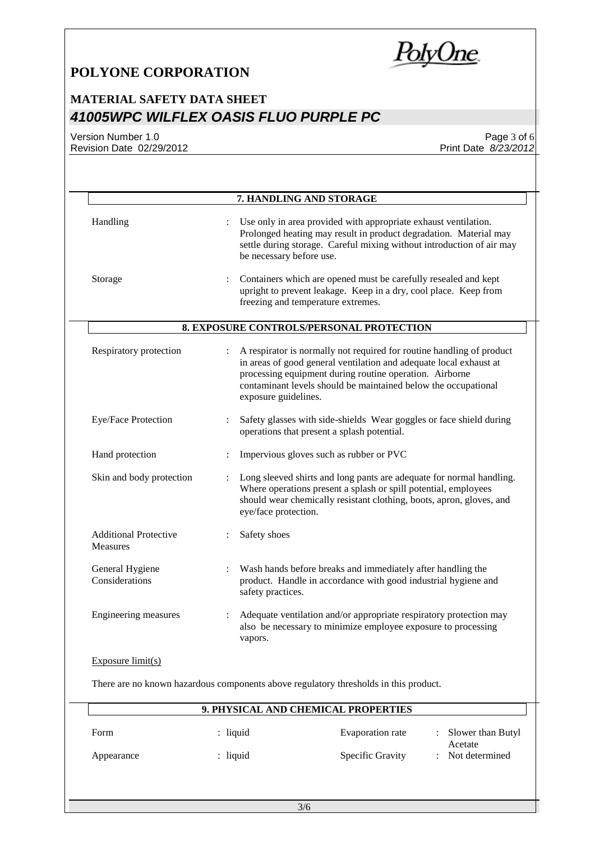<u>PolyOne</u>

# **MATERIAL SAFETY DATA SHEET** *41005WPC WILFLEX OASIS FLUO PURPLE PC*

Version Number 1.0 Revision Date 02/29/2012

Page 3 of 6 Print Date *8/23/2012*

| Handling                                        |                      | Use only in area provided with appropriate exhaust ventilation.<br>Prolonged heating may result in product degradation. Material may<br>settle during storage. Careful mixing without introduction of air may<br>be necessary before use.                                                        |
|-------------------------------------------------|----------------------|--------------------------------------------------------------------------------------------------------------------------------------------------------------------------------------------------------------------------------------------------------------------------------------------------|
| Storage                                         | :                    | Containers which are opened must be carefully resealed and kept<br>upright to prevent leakage. Keep in a dry, cool place. Keep from<br>freezing and temperature extremes.                                                                                                                        |
|                                                 |                      | 8. EXPOSURE CONTROLS/PERSONAL PROTECTION                                                                                                                                                                                                                                                         |
| Respiratory protection                          | $\ddot{\phantom{a}}$ | A respirator is normally not required for routine handling of product<br>in areas of good general ventilation and adequate local exhaust at<br>processing equipment during routine operation. Airborne<br>contaminant levels should be maintained below the occupational<br>exposure guidelines. |
| Eye/Face Protection                             |                      | Safety glasses with side-shields Wear goggles or face shield during<br>operations that present a splash potential.                                                                                                                                                                               |
| Hand protection                                 |                      | Impervious gloves such as rubber or PVC                                                                                                                                                                                                                                                          |
| Skin and body protection                        |                      | Long sleeved shirts and long pants are adequate for normal handling.<br>Where operations present a splash or spill potential, employees<br>should wear chemically resistant clothing, boots, apron, gloves, and<br>eye/face protection.                                                          |
| <b>Additional Protective</b><br><b>Measures</b> |                      | Safety shoes                                                                                                                                                                                                                                                                                     |
| General Hygiene<br>Considerations               |                      | Wash hands before breaks and immediately after handling the<br>product. Handle in accordance with good industrial hygiene and<br>safety practices.                                                                                                                                               |
| Engineering measures                            | ÷                    | Adequate ventilation and/or appropriate respiratory protection may<br>also be necessary to minimize employee exposure to processing<br>vapors.                                                                                                                                                   |
| Exposure $limit(s)$                             |                      |                                                                                                                                                                                                                                                                                                  |
|                                                 |                      | There are no known hazardous components above regulatory thresholds in this product.                                                                                                                                                                                                             |

| Form       | : liquid   | Evaporation rate        | : Slower than Butyl<br>Acetate |
|------------|------------|-------------------------|--------------------------------|
| Appearance | $:$ liquid | <b>Specific Gravity</b> | Not determined                 |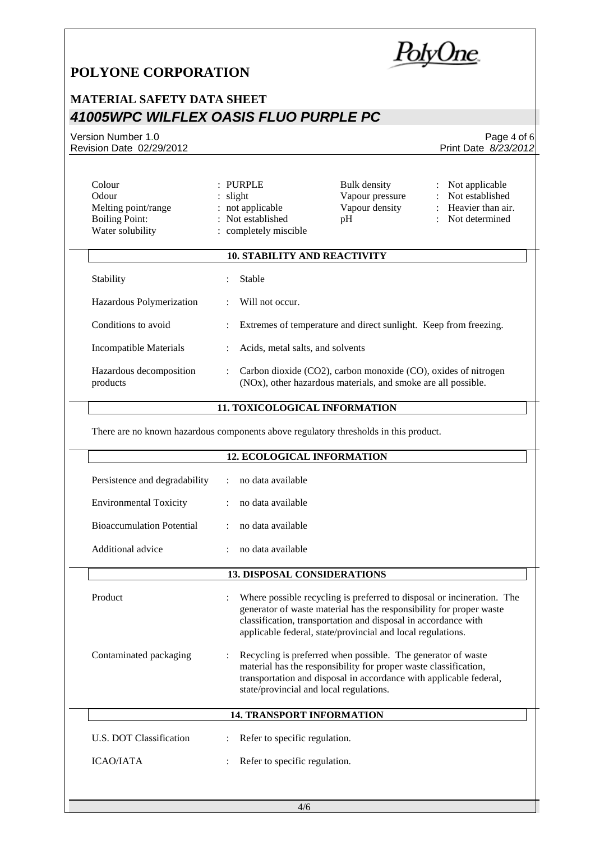### **MATERIAL SAFETY DATA SHEET** *41005WPC WILFLEX OASIS FLUO PURPLE PC*

Version Number 1.0 Revision Date 02/29/2012

| Odour<br>Melting point/range<br><b>Boiling Point:</b><br>Water solubility | $:$ slight                | : not applicable<br>: Not established<br>: completely miscible   | Vapour pressure<br>Vapour density<br>pH                       | $\ddot{\cdot}$<br>÷ | Not established<br>Heavier than air.<br>Not determined |
|---------------------------------------------------------------------------|---------------------------|------------------------------------------------------------------|---------------------------------------------------------------|---------------------|--------------------------------------------------------|
|                                                                           |                           | <b>10. STABILITY AND REACTIVITY</b>                              |                                                               |                     |                                                        |
| Stability                                                                 |                           | Stable                                                           |                                                               |                     |                                                        |
| Hazardous Polymerization                                                  |                           | Will not occur.                                                  |                                                               |                     |                                                        |
| Conditions to avoid                                                       | $\mathbb{R}^{\mathbb{Z}}$ | Extremes of temperature and direct sunlight. Keep from freezing. |                                                               |                     |                                                        |
| Incompatible Materials                                                    |                           | Acids, metal salts, and solvents                                 |                                                               |                     |                                                        |
| Hazardous decomposition<br>products                                       |                           | Carbon dioxide (CO2), carbon monoxide (CO), oxides of nitrogen   | (NOx), other hazardous materials, and smoke are all possible. |                     |                                                        |
|                                                                           |                           |                                                                  |                                                               |                     |                                                        |

Colour : PURPLE Bulk density : Not applicable

#### **11. TOXICOLOGICAL INFORMATION**

There are no known hazardous components above regulatory thresholds in this product.

|                                  | <b>12. ECOLOGICAL INFORMATION</b>                                                                                                                                                                                                                                              |
|----------------------------------|--------------------------------------------------------------------------------------------------------------------------------------------------------------------------------------------------------------------------------------------------------------------------------|
| Persistence and degradability    | no data available                                                                                                                                                                                                                                                              |
| <b>Environmental Toxicity</b>    | no data available                                                                                                                                                                                                                                                              |
| <b>Bioaccumulation Potential</b> | no data available                                                                                                                                                                                                                                                              |
| Additional advice                | no data available                                                                                                                                                                                                                                                              |
|                                  | <b>13. DISPOSAL CONSIDERATIONS</b>                                                                                                                                                                                                                                             |
| Product                          | Where possible recycling is preferred to disposal or incineration. The<br>generator of waste material has the responsibility for proper waste<br>classification, transportation and disposal in accordance with<br>applicable federal, state/provincial and local regulations. |
| Contaminated packaging           | Recycling is preferred when possible. The generator of waste<br>material has the responsibility for proper waste classification,<br>transportation and disposal in accordance with applicable federal,<br>state/provincial and local regulations.                              |
|                                  | <b>14. TRANSPORT INFORMATION</b>                                                                                                                                                                                                                                               |
| U.S. DOT Classification          | Refer to specific regulation.                                                                                                                                                                                                                                                  |
| <b>ICAO/JATA</b>                 | Refer to specific regulation.                                                                                                                                                                                                                                                  |



Page 4 of 6 Print Date *8/23/2012*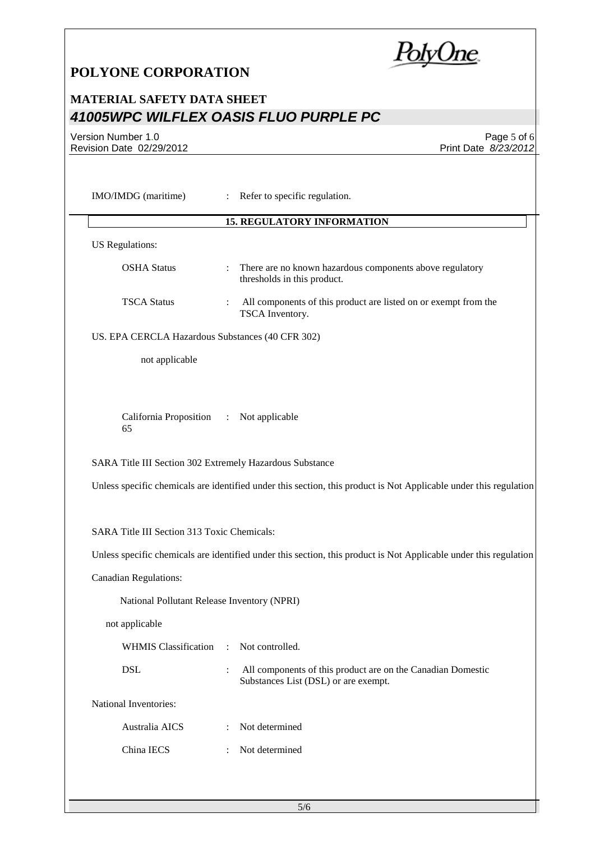PolyOne

## **MATERIAL SAFETY DATA SHEET** *41005WPC WILFLEX OASIS FLUO PURPLE PC*

Version Number 1.0 Revision Date 02/29/2012

Page 5 of 6 Print Date *8/23/2012*

| IMO/IMDG (maritime)                                      |                       |                                                                                                                                                                                                                                                          |
|----------------------------------------------------------|-----------------------|----------------------------------------------------------------------------------------------------------------------------------------------------------------------------------------------------------------------------------------------------------|
|                                                          |                       | <b>15. REGULATORY INFORMATION</b>                                                                                                                                                                                                                        |
| <b>US</b> Regulations:                                   |                       |                                                                                                                                                                                                                                                          |
| <b>OSHA Status</b>                                       | $\ddot{\cdot}$        | There are no known hazardous components above regulatory<br>thresholds in this product.                                                                                                                                                                  |
| <b>TSCA Status</b>                                       |                       | All components of this product are listed on or exempt from the<br>TSCA Inventory.                                                                                                                                                                       |
| US. EPA CERCLA Hazardous Substances (40 CFR 302)         |                       |                                                                                                                                                                                                                                                          |
| not applicable                                           |                       |                                                                                                                                                                                                                                                          |
| California Proposition<br>65                             | $\mathbb{Z}^{\times}$ | Not applicable                                                                                                                                                                                                                                           |
|                                                          |                       |                                                                                                                                                                                                                                                          |
| SARA Title III Section 302 Extremely Hazardous Substance |                       |                                                                                                                                                                                                                                                          |
|                                                          |                       |                                                                                                                                                                                                                                                          |
| SARA Title III Section 313 Toxic Chemicals:              |                       |                                                                                                                                                                                                                                                          |
|                                                          |                       |                                                                                                                                                                                                                                                          |
| <b>Canadian Regulations:</b>                             |                       |                                                                                                                                                                                                                                                          |
| National Pollutant Release Inventory (NPRI)              |                       |                                                                                                                                                                                                                                                          |
| not applicable                                           |                       |                                                                                                                                                                                                                                                          |
| <b>WHMIS Classification</b>                              | $\mathcal{L}$         | Not controlled.                                                                                                                                                                                                                                          |
| <b>DSL</b>                                               | $\ddot{\cdot}$        | All components of this product are on the Canadian Domestic<br>Substances List (DSL) or are exempt.                                                                                                                                                      |
| National Inventories:                                    |                       |                                                                                                                                                                                                                                                          |
| Australia AICS                                           |                       | Unless specific chemicals are identified under this section, this product is Not Applicable under this regulation<br>Unless specific chemicals are identified under this section, this product is Not Applicable under this regulation<br>Not determined |